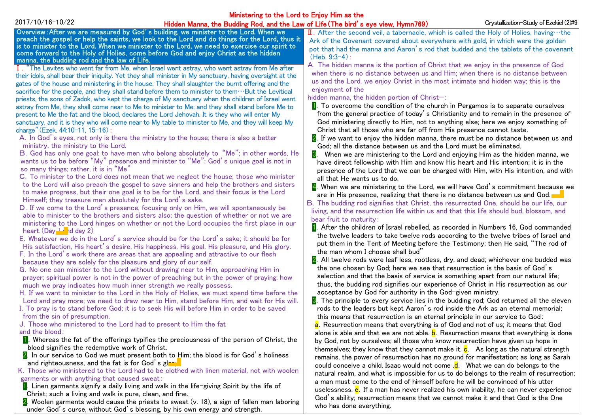| Ministering to the Lord to Enjoy Him as the                                                                                                                                                                                                                                                                                                                                                                                                                                                                                  |                                                                                                                                                                                                                                                                                                                                                                                                                                                                                                                                                                                                                                                                                                                                                                                                                                                                                                                                                                                                                                                                                                                                                                                                                                                                                                                                                                                                                                                                                                                                                                                                                                                                                                                                                                                                                                                                                                                                                                                                                                                                                                                                                                                                                                                                                                                                                                                                                                           |                                                                                                                                                                                                                                                                                                                                                                                                                                                                                                                                                                                                                                                                                                                                                                                                                                                                                                                                                                                                                                                                                                                                                                                                                                                                                                                                                                                                                                                                                                                                                                                                                                                                                                                                                                                                                                                                                                                                                                                                                                                                                                                                                                                                                                                                                                                                                                                                                                                                                                                                                                                                                                                                                                                   |                                        |  |
|------------------------------------------------------------------------------------------------------------------------------------------------------------------------------------------------------------------------------------------------------------------------------------------------------------------------------------------------------------------------------------------------------------------------------------------------------------------------------------------------------------------------------|-------------------------------------------------------------------------------------------------------------------------------------------------------------------------------------------------------------------------------------------------------------------------------------------------------------------------------------------------------------------------------------------------------------------------------------------------------------------------------------------------------------------------------------------------------------------------------------------------------------------------------------------------------------------------------------------------------------------------------------------------------------------------------------------------------------------------------------------------------------------------------------------------------------------------------------------------------------------------------------------------------------------------------------------------------------------------------------------------------------------------------------------------------------------------------------------------------------------------------------------------------------------------------------------------------------------------------------------------------------------------------------------------------------------------------------------------------------------------------------------------------------------------------------------------------------------------------------------------------------------------------------------------------------------------------------------------------------------------------------------------------------------------------------------------------------------------------------------------------------------------------------------------------------------------------------------------------------------------------------------------------------------------------------------------------------------------------------------------------------------------------------------------------------------------------------------------------------------------------------------------------------------------------------------------------------------------------------------------------------------------------------------------------------------------------------------|-------------------------------------------------------------------------------------------------------------------------------------------------------------------------------------------------------------------------------------------------------------------------------------------------------------------------------------------------------------------------------------------------------------------------------------------------------------------------------------------------------------------------------------------------------------------------------------------------------------------------------------------------------------------------------------------------------------------------------------------------------------------------------------------------------------------------------------------------------------------------------------------------------------------------------------------------------------------------------------------------------------------------------------------------------------------------------------------------------------------------------------------------------------------------------------------------------------------------------------------------------------------------------------------------------------------------------------------------------------------------------------------------------------------------------------------------------------------------------------------------------------------------------------------------------------------------------------------------------------------------------------------------------------------------------------------------------------------------------------------------------------------------------------------------------------------------------------------------------------------------------------------------------------------------------------------------------------------------------------------------------------------------------------------------------------------------------------------------------------------------------------------------------------------------------------------------------------------------------------------------------------------------------------------------------------------------------------------------------------------------------------------------------------------------------------------------------------------------------------------------------------------------------------------------------------------------------------------------------------------------------------------------------------------------------------------------------------------|----------------------------------------|--|
| 2017/10/16-10/22                                                                                                                                                                                                                                                                                                                                                                                                                                                                                                             | Hidden Manna, the Budding Rod, and the Law of Life (The bird's eye view, Hymn769)                                                                                                                                                                                                                                                                                                                                                                                                                                                                                                                                                                                                                                                                                                                                                                                                                                                                                                                                                                                                                                                                                                                                                                                                                                                                                                                                                                                                                                                                                                                                                                                                                                                                                                                                                                                                                                                                                                                                                                                                                                                                                                                                                                                                                                                                                                                                                         |                                                                                                                                                                                                                                                                                                                                                                                                                                                                                                                                                                                                                                                                                                                                                                                                                                                                                                                                                                                                                                                                                                                                                                                                                                                                                                                                                                                                                                                                                                                                                                                                                                                                                                                                                                                                                                                                                                                                                                                                                                                                                                                                                                                                                                                                                                                                                                                                                                                                                                                                                                                                                                                                                                                   | Crystallization-Study of Ezekiel (2)#9 |  |
|                                                                                                                                                                                                                                                                                                                                                                                                                                                                                                                              | Overview: After we are measured by God's building, we minister to the Lord. When we<br>preach the gospel or help the saints, we look to the Lord and do things for the Lord, thus it<br>is to minister to the Lord. When we minister to the Lord, we need to exercise our spirit to<br>come forward to the Holy of Holies, come before God and enjoy Christ as the hidden                                                                                                                                                                                                                                                                                                                                                                                                                                                                                                                                                                                                                                                                                                                                                                                                                                                                                                                                                                                                                                                                                                                                                                                                                                                                                                                                                                                                                                                                                                                                                                                                                                                                                                                                                                                                                                                                                                                                                                                                                                                                 | $\mathbf I$ . After the second veil, a tabernacle, which is called the Holy of Holies, having $\cdots$ the<br>Ark of the Covenant covered about everywhere with gold, in which were the golden<br>pot that had the manna and Aaron's rod that budded and the tablets of the covenant<br>$(Heb. 9:3-4):$                                                                                                                                                                                                                                                                                                                                                                                                                                                                                                                                                                                                                                                                                                                                                                                                                                                                                                                                                                                                                                                                                                                                                                                                                                                                                                                                                                                                                                                                                                                                                                                                                                                                                                                                                                                                                                                                                                                                                                                                                                                                                                                                                                                                                                                                                                                                                                                                           |                                        |  |
| manna, the budding rod and the law of Life.<br>charge" (Ezek. 44:10-11, 15-16):<br>ministry, the ministry to the Lord.<br>so many things; rather, it is in "Me"<br>Himself; they treasure men absolutely for the Lord's sake.<br>heart. $(Day - 1)$ id day 2)<br>because they are solely for the pleasure and glory of our self.<br>much we pray indicates how much inner strength we really possess.<br>from the sin of presumption.<br>J. Those who ministered to the Lord had to present to Him the fat<br>and the blood: | I. "The Levites who went far from Me, when Israel went astray, who went astray from Me after<br>their idols, shall bear their iniquity. Yet they shall minister in My sanctuary, having oversight at the<br>gates of the house and ministering in the house. They shall slaughter the burnt offering and the<br>sacrifice for the people, and they shall stand before them to minister to them…But the Levitical<br>priests, the sons of Zadok, who kept the charge of My sanctuary when the children of Israel went<br>astray from Me, they shall come near to Me to minister to Me; and they shall stand before Me to<br>present to Me the fat and the blood, declares the Lord Jehovah. It is they who will enter My<br>sanctuary, and it is they who will come near to My table to minister to Me, and they will keep My<br>A. In God's eyes, not only is there the ministry to the house; there is also a better<br>B. God has only one goal: to have men who belong absolutely to "Me"; in other words, He<br>wants us to be before "My" presence and minister to "Me"; God's unique goal is not in<br>C. To minister to the Lord does not mean that we neglect the house; those who minister<br>to the Lord will also preach the gospel to save sinners and help the brothers and sisters<br>to make progress, but their one goal is to be for the Lord, and their focus is the Lord<br>D. If we come to the Lord's presence, focusing only on Him, we will spontaneously be<br>able to minister to the brothers and sisters also; the question of whether or not we are<br>ministering to the Lord hinges on whether or not the Lord occupies the first place in our<br>E. Whatever we do in the Lord's service should be for the Lord's sake; it should be for<br>His satisfaction, His heart's desire, His happiness, His goal, His pleasure, and His glory.<br>F. In the Lord's work there are areas that are appealing and attractive to our flesh<br>G. No one can minister to the Lord without drawing near to Him, approaching Him in<br>prayer; spiritual power is not in the power of preaching but in the power of praying; how<br>H. If we want to minister to the Lord in the Holy of Holies, we must spend time before the<br>Lord and pray more; we need to draw near to Him, stand before Him, and wait for His will.<br>I. To pray is to stand before God; it is to seek His will before Him in order to be saved | A. The hidden manna is the portion of Christ that we enjoy in the presence of God<br>when there is no distance between us and Him; when there is no distance between<br>us and the Lord, we enjoy Christ in the most intimate and hidden way; this is the<br>enjoyment of the<br>hidden manna, the hidden portion of Christ-:<br><b>1.</b> To overcome the condition of the church in Pergamos is to separate ourselves<br>from the general practice of today's Christianity and to remain in the presence of<br>God ministering directly to Him, not to anything else; here we enjoy something of<br>Christ that all those who are far off from His presence cannot taste.<br>2. If we want to enjoy the hidden manna, there must be no distance between us and<br>God; all the distance between us and the Lord must be eliminated.<br>8. When we are ministering to the Lord and enjoying Him as the hidden manna, we<br>have direct fellowship with Him and know His heart and His intention; it is in the<br>presence of the Lord that we can be charged with Him, with His intention, and with<br>all that He wants us to do.<br>4. When we are ministering to the Lord, we will have God's commitment because we<br>are in His presence, realizing that there is no distance between us and God.<br>B. The budding rod signifies that Christ, the resurrected One, should be our life, our<br>living, and the resurrection life within us and that this life should bud, blossom, and<br>bear fruit to maturity:<br><b>1.</b> After the children of Israel rebelled, as recorded in Numbers 16, God commanded<br>the twelve leaders to take twelve rods according to the twelve tribes of Israel and<br>put them in the Tent of Meeting before the Testimony; then He said, "The rod of<br>the man whom I choose shall bud"<br>2. All twelve rods were leaf less, rootless, dry, and dead; whichever one budded was<br>the one chosen by God; here we see that resurrection is the basis of God's<br>selection and that the basis of service is something apart from our natural life;<br>thus, the budding rod signifies our experience of Christ in His resurrection as our<br>acceptance by God for authority in the God-given ministry.<br>8. The principle to every service lies in the budding rod; God returned all the eleven<br>rods to the leaders but kept Aaron's rod inside the Ark as an eternal memorial;<br>this means that resurrection is an eternal principle in our service to God:<br><mark>a</mark> . Resurrection means that everything is of God and not of us; it means that God<br>alone is able and that we are not able. <b>b</b> . Resurrection means that everything is done |                                        |  |
| blood signifies the redemptive work of Christ.<br>and righteousness, and the fat is for God's glant                                                                                                                                                                                                                                                                                                                                                                                                                          | <b>1</b> . Whereas the fat of the offerings typifies the preciousness of the person of Christ, the<br>2. In our service to God we must present both to Him; the blood is for God's holiness                                                                                                                                                                                                                                                                                                                                                                                                                                                                                                                                                                                                                                                                                                                                                                                                                                                                                                                                                                                                                                                                                                                                                                                                                                                                                                                                                                                                                                                                                                                                                                                                                                                                                                                                                                                                                                                                                                                                                                                                                                                                                                                                                                                                                                               | by God, not by ourselves; all those who know resurrection have given up hope in<br>themselves; they know that they cannot make it. $c$ . As long as the natural strength<br>remains, the power of resurrection has no ground for manifestation; as long as Sarah                                                                                                                                                                                                                                                                                                                                                                                                                                                                                                                                                                                                                                                                                                                                                                                                                                                                                                                                                                                                                                                                                                                                                                                                                                                                                                                                                                                                                                                                                                                                                                                                                                                                                                                                                                                                                                                                                                                                                                                                                                                                                                                                                                                                                                                                                                                                                                                                                                                  |                                        |  |
| garments or with anything that caused sweat:                                                                                                                                                                                                                                                                                                                                                                                                                                                                                 | K. Those who ministered to the Lord had to be clothed with linen material, not with woolen<br>$\blacksquare$ . Linen garments signify a daily living and walk in the life-giving Spirit by the life of                                                                                                                                                                                                                                                                                                                                                                                                                                                                                                                                                                                                                                                                                                                                                                                                                                                                                                                                                                                                                                                                                                                                                                                                                                                                                                                                                                                                                                                                                                                                                                                                                                                                                                                                                                                                                                                                                                                                                                                                                                                                                                                                                                                                                                    | could conceive a child, Isaac would not come .d. What we can do belongs to the<br>natural realm, and what is impossible for us to do belongs to the realm of resurrection;<br>a man must come to the end of himself before he will be convinced of his utter<br>uselessness. e. If a man has never realized his own inability, he can never experience                                                                                                                                                                                                                                                                                                                                                                                                                                                                                                                                                                                                                                                                                                                                                                                                                                                                                                                                                                                                                                                                                                                                                                                                                                                                                                                                                                                                                                                                                                                                                                                                                                                                                                                                                                                                                                                                                                                                                                                                                                                                                                                                                                                                                                                                                                                                                            |                                        |  |
| Christ; such a living and walk is pure, clean, and fine.                                                                                                                                                                                                                                                                                                                                                                                                                                                                     | 2. Woolen garments would cause the priests to sweat (v. 18), a sign of fallen man laboring<br>under God's curse, without God's blessing, by his own energy and strength.                                                                                                                                                                                                                                                                                                                                                                                                                                                                                                                                                                                                                                                                                                                                                                                                                                                                                                                                                                                                                                                                                                                                                                                                                                                                                                                                                                                                                                                                                                                                                                                                                                                                                                                                                                                                                                                                                                                                                                                                                                                                                                                                                                                                                                                                  | God's ability; resurrection means that we cannot make it and that God is the One<br>who has done everything.                                                                                                                                                                                                                                                                                                                                                                                                                                                                                                                                                                                                                                                                                                                                                                                                                                                                                                                                                                                                                                                                                                                                                                                                                                                                                                                                                                                                                                                                                                                                                                                                                                                                                                                                                                                                                                                                                                                                                                                                                                                                                                                                                                                                                                                                                                                                                                                                                                                                                                                                                                                                      |                                        |  |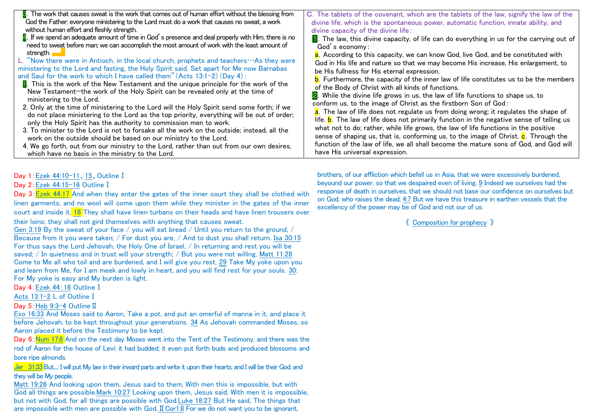| 8. The work that causes sweat is the work that comes out of human effort without the blessing from<br>God the Father; everyone ministering to the Lord must do a work that causes no sweat, a work<br>without human effort and fleshly strength.<br>4. If we spend an adequate amount of time in God's presence and deal properly with Him, there is no<br>need to sweat before man; we can accomplish the most amount of work with the least amount of<br>strength.<br>L. "Now there were in Antioch, in the local church, prophets and teachers…As they were<br>ministering to the Lord and fasting, the Holy Spirit said, Set apart for Me now Barnabas<br>and Saul for the work to which I have called them" (Acts 13:1-2) (Day 4) :<br><b>I</b> . This is the work of the New Testament and the unique principle for the work of the<br>New Testament-the work of the Holy Spirit can be revealed only at the time of<br>ministering to the Lord.<br>2. Only at the time of ministering to the Lord will the Holy Spirit send some forth; if we<br>do not place ministering to the Lord as the top priority, everything will be out of order;<br>only the Holy Spirit has the authority to commission men to work.<br>3. To minister to the Lord is not to forsake all the work on the outside; instead, all the<br>work on the outside should be based on our ministry to the Lord.<br>4. We go forth, out from our ministry to the Lord, rather than out from our own desires,<br>which have no basis in the ministry to the Lord. | C. The tablets of the covenant, which are the tablets of the law, signify the law of the<br>divine life, which is the spontaneous power, automatic function, innate ability, and<br>divine capacity of the divine life:<br>1. The law, this divine capacity, of life can do everything in us for the carrying out of<br>God's economy:<br>a. According to this capacity, we can know God, live God, and be constituted with<br>God in His life and nature so that we may become His increase, His enlargement, to<br>be His fullness for His eternal expression.<br>b. Furthermore, the capacity of the inner law of life constitutes us to be the members<br>of the Body of Christ with all kinds of functions.<br>2. While the divine life grows in us, the law of life functions to shape us, to<br>conform us, to the image of Christ as the firstborn Son of God:<br>a. The law of life does not regulate us from doing wrong; it regulates the shape of<br>life. <b>b</b> . The law of life does not primarily function in the negative sense of telling us<br>what not to do; rather, while life grows, the law of life functions in the positive<br>sense of shaping us, that is, conforming us, to the image of Christ. <b>c</b> . Through the<br>function of the law of life, we all shall become the mature sons of God, and God will<br>have His universal expression. |
|-------------------------------------------------------------------------------------------------------------------------------------------------------------------------------------------------------------------------------------------------------------------------------------------------------------------------------------------------------------------------------------------------------------------------------------------------------------------------------------------------------------------------------------------------------------------------------------------------------------------------------------------------------------------------------------------------------------------------------------------------------------------------------------------------------------------------------------------------------------------------------------------------------------------------------------------------------------------------------------------------------------------------------------------------------------------------------------------------------------------------------------------------------------------------------------------------------------------------------------------------------------------------------------------------------------------------------------------------------------------------------------------------------------------------------------------------------------------------------------------------------------------------------------------|------------------------------------------------------------------------------------------------------------------------------------------------------------------------------------------------------------------------------------------------------------------------------------------------------------------------------------------------------------------------------------------------------------------------------------------------------------------------------------------------------------------------------------------------------------------------------------------------------------------------------------------------------------------------------------------------------------------------------------------------------------------------------------------------------------------------------------------------------------------------------------------------------------------------------------------------------------------------------------------------------------------------------------------------------------------------------------------------------------------------------------------------------------------------------------------------------------------------------------------------------------------------------------------------------------------------------------------------------------------------------------|
|-------------------------------------------------------------------------------------------------------------------------------------------------------------------------------------------------------------------------------------------------------------------------------------------------------------------------------------------------------------------------------------------------------------------------------------------------------------------------------------------------------------------------------------------------------------------------------------------------------------------------------------------------------------------------------------------------------------------------------------------------------------------------------------------------------------------------------------------------------------------------------------------------------------------------------------------------------------------------------------------------------------------------------------------------------------------------------------------------------------------------------------------------------------------------------------------------------------------------------------------------------------------------------------------------------------------------------------------------------------------------------------------------------------------------------------------------------------------------------------------------------------------------------------------|------------------------------------------------------------------------------------------------------------------------------------------------------------------------------------------------------------------------------------------------------------------------------------------------------------------------------------------------------------------------------------------------------------------------------------------------------------------------------------------------------------------------------------------------------------------------------------------------------------------------------------------------------------------------------------------------------------------------------------------------------------------------------------------------------------------------------------------------------------------------------------------------------------------------------------------------------------------------------------------------------------------------------------------------------------------------------------------------------------------------------------------------------------------------------------------------------------------------------------------------------------------------------------------------------------------------------------------------------------------------------------|

Day 1:Ezek 44:10-11、15、OutlineⅠ

Day 2: Ezek 44:15-16 Outline I

Day 3: Ezek 44:17 And when they enter the gates of the inner court they shall be clothed with linen garments, and no wool will come upon them while they minister in the gates of the inner court and inside it. 18 They shall have linen turbans on their heads and have linen trousers over

their loins; they shall not gird themselves with anything that causes sweat.

Gen 3:19 By the sweat of your face / you will eat bread / Until you return to the ground, / Because from it you were taken; / For dust you are, / And to dust you shall return. Isa 30:15 For thus says the Lord Jehovah, the Holy One of Israel, / In returning and rest you will be saved: / In quietness and in trust will your strength: / But you were not willing, Matt 11:28 Come to Me all who toil and are burdened, and I will give you rest. 29 Take My yoke upon you and learn from Me, for I am meek and lowly in heart, and you will find rest for your souls. 30: For My yoke is easy and My burden is light.

Day 4: Ezek 44:16 Outline I

Acts 13:1-2 L of OutlineⅠ

Day 5: Heb 9:3-4 Outline Ⅱ

Exo 16:33 And Moses said to Aaron, Take a pot, and put an omerful of manna in it, and place it before Jehovah, to be kept throughout your generations. 34 As Jehovah commanded Moses, so Aaron placed it before the Testimony to be kept.

Day 6: Num 17:8 And on the next day Moses went into the Tent of the Testimony, and there was the rod of Aaron for the house of Levi: it had budded; it even put forth buds and produced blossoms and bore ripe almonds.

Jer 31:33 But....: I will put My law in their inward parts and write it upon their hearts; and I will be their God, and they will be My people.

Matt 19:26 And looking upon them, Jesus said to them, With men this is impossible, but with God all things are possible.Mark 10:27 Looking upon them, Jesus said, With men it is impossible, but not with God, for all things are possible with God.Luke 18:27 But He said, The things that are impossible with men are possible with God.ⅡCor1:8 For we do not want you to be ignorant,

brothers, of our affliction which befell us in Asia, that we were excessively burdened, beyound our power, so that we despaired even of living. 9 Indeed we ourselves had the response of death in ourselves, that we should not base our confidence on ourselves but on God, who raises the dead; 4:7 But we have this treasure in earthen vessels that the excellency of the power may be of God and not our of us.

《 Composition for prophecy 》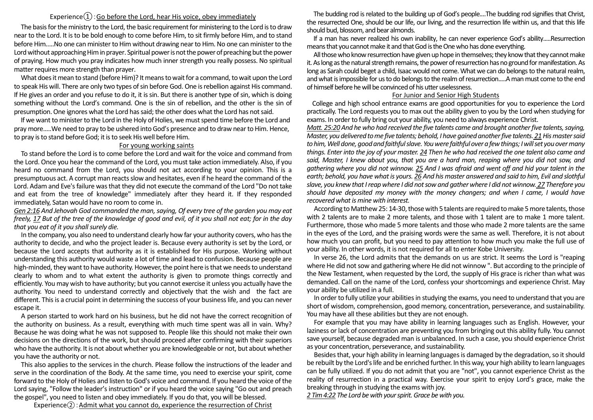## Experience $\Omega$ : Go before the Lord, hear His voice, obey immediately

The basis for the ministry to the Lord, the basic requirement for ministering to the Lord is to draw near to the Lord. It is to be bold enough to come before Him, to sit firmly before Him, and to stand before Him.....No one can minister to Him without drawing near to Him. No one can minister to the Lord without approaching Him in prayer. Spiritual power is not the power of preaching but the power of praying. How much you pray indicates how much inner strength you really possess. No spiritual matter requires more strength than prayer.

What does it mean to stand (before Him)? It means to wait for a command, to wait upon the Lord to speak His will. There are only two types of sin before God. One is rebellion against His command. If He gives an order and you refuse to do it, it is sin. But there is another type of sin, which is doing something without the Lord's command. One is the sin of rebellion, and the other is the sin of presumption. One ignores what the Lord has said; the other does what the Lord has not said.

If we want to minister to the Lord in the Holy of Holies, we must spend time before the Lord and pray more.....We need to pray to be ushered into God's presence and to draw near to Him. Hence, to pray is to stand before God; it is to seek His well before Him.

## For young working saints

To stand before the Lord is to come before the Lord and wait for the voice and command from the Lord. Once you hear the command of the Lord, you must take action immediately. Also, if you heard no command from the Lord, you should not act according to your opinion. This is a presumptuous act. A corrupt man reacts slow and hesitates, even if he heard the command of the Lord. Adam and Eve's failure was that they did not execute the command of the Lord "Do not take and eat from the tree of knowledge" immediately after they heard it. If they responded immediately, Satan would have no room to come in.

*Gen 2:16 And Jehovah God commanded the man, saying, Of every tree of the garden you may eat freely, 17 But of the tree of the knowledge of good and evil, of it you shall not eat; for in the day that you eat of it you shall surely die.*

In the company, you also need to understand clearly how far your authority covers, who has the authority to decide, and who the project leader is. Because every authority is set by the Lord, or because the Lord accepts that authority as it is established for His purpose. Working without understanding this authority would waste a lot of time and lead to confusion. Because people are high-minded, they want to have authority. However, the point here is that we needs to understand clearly to whom and to what extent the authority is given to promote things correctly and efficiently. You may wish to have authority; but you cannot exercise it unless you actually have the authority. You need to understand correctly and objectively that the wish and the fact are different. This is a crucial point in determining the success of your business life, and you can never escape it.

A person started to work hard on his business, but he did not have the correct recognition of the authority on business. As a result, everything with much time spent was all in vain. Why? Because he was doing what he was not supposed to. People like this should not make their own decisions on the directions of the work, but should proceed after confirming with their superiors who have the authority. It is not about whether you are knowledgeable or not, but about whether you have the authority or not.

This also applies to the services in the church. Please follow the instructions of the leader and serve in the coordination of the Body. At the same time, you need to exercise your spirit, come forward to the Holy of Holies and listen to God's voice and command. If you heard the voice of the Lord saying, "Follow the leader's instruction" or if you heard the voice saying "Go out and preach the gospel", you need to listen and obey immediately. If you do that, you will be blessed.

Experience $(2)$ : Admit what you cannot do, experience the resurrection of Christ

The budding rod is related to the building up of God's people....The budding rod signifies that Christ, the resurrected One, should be our life, our living, and the resurrection life within us, and that this life should bud, blossom, and bear almonds.

If a man has never realized his own inability, he can never experience God's ability.....Resurrection means that you cannot make it and that God is the One who has done everything.

All those who know resurrection have given up hope in themselves; they know that they cannot make it. As long as the natural strength remains, the power of resurrection has no ground for manifestation. As long as Sarah could beget a child, Isaac would not come. What we can do belongs to the natural realm, and what is impossible for us to do belongs to the realm of resurrection.....A man must come to the end of himself before he will be convinced of his utter uselessness.

## For Junior and Senior High Students

College and high school entrance exams are good opportunities for you to experience the Lord practically. The Lord requests you to max out the ability given to you by the Lord when studying for exams. In order to fully bring out your ability, you need to always experience Christ.

*Matt. 25:20 And he who had received the five talents came and brought another five talents, saying, Master, you delivered to me five talents; behold, I have gained another five talents.21His master said to him, Well done, good and faithful slave. You were faithful over a few things; I will set you over many things. Enter into the joy of your master. 24 Then he who had received the one talent also came and said, Master, I knew about you, that you are a hard man, reaping where you did not sow, and gathering where you did not winnow. 25 And I was afraid and went off and hid your talent in the earth; behold, you have what is yours. 26 And his master answered and said to him, Evil and slothful slave, you knew that I reap where I did not sow and gather where I did not winnow. 27 Therefore you should have deposited my money with the money changers; and when I came, I would have recovered what is mine with interest.*

According to Matthew 25: 14-30, those with 5 talents are required to make 5 more talents, those with 2 talents are to make 2 more talents, and those with 1 talent are to make 1 more talent. Furthermore, those who made 5 more talents and those who made 2 more talents are the same in the eyes of the Lord, and the praising words were the same as well. Therefore, it is not about how much you can profit, but you need to pay attention to how much you make the full use of your ability. In other words, it is not required for all to enter Kobe University.

In verse 26, the Lord admits that the demands on us are strict. It seems the Lord is "reaping where He did not sow and gathering where He did not winnow ". But according to the principle of the New Testament, when requested by the Lord, the supply of His grace is richer than what was demanded. Call on the name of the Lord, confess your shortcomings and experience Christ. May your ability be utilized in a full.

In order to fully utilize your abilities in studying the exams, you need to understand that you are short of wisdom, comprehension, good memory, concentration, perseverance, and sustainability. You may have all these abilities but they are not enough.

For example that you may have ability in learning languages such as English. However, your laziness or lack of concentration are preventing you from bringing out this ability fully. You cannot save yourself, because degraded man is unbalanced. In such a case, you should experience Christ as your concentration, perseverance, and sustainability.

Besides that, your high ability in learning languages is damaged by the degradation, so it should be rebuilt by the Lord's life and be enriched further. In this way, your high ability to learn languages can be fully utilized. If you do not admit that you are "not", you cannot experience Christ as the reality of resurrection in a practical way. Exercise your spirit to enjoy Lord's grace, make the breaking through in studying the exams with joy.

*2 Tim 4:22 The Lord be with your spirit. Grace be with you.*